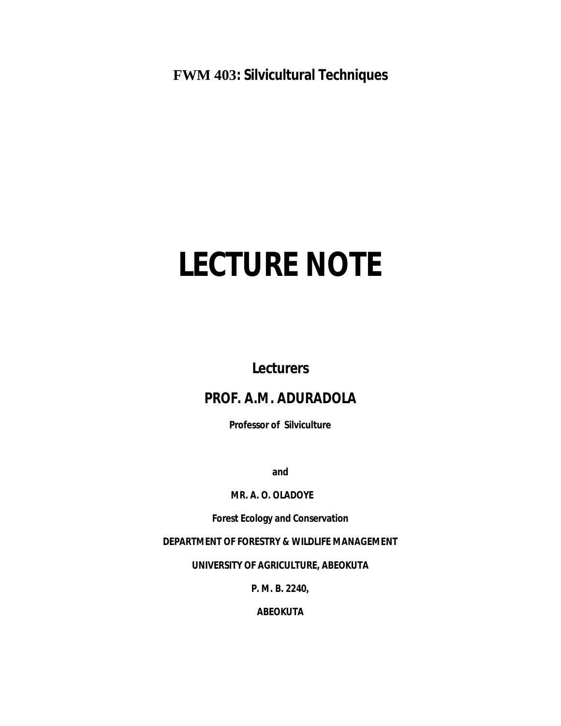**FWM 403: Silvicultural Techniques**

# **LECTURE NOTE**

**Lecturers**

# **PROF. A.M. ADURADOLA**

**Professor of Silviculture**

**and**

# **MR. A. O. OLADOYE**

**Forest Ecology and Conservation**

**DEPARTMENT OF FORESTRY & WILDLIFE MANAGEMENT**

**UNIVERSITY OF AGRICULTURE, ABEOKUTA**

**P. M. B. 2240,**

**ABEOKUTA**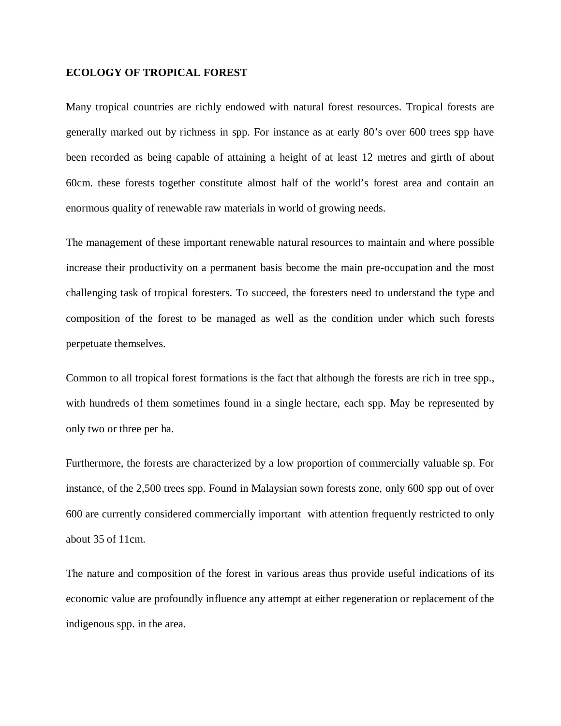#### **ECOLOGY OF TROPICAL FOREST**

Many tropical countries are richly endowed with natural forest resources. Tropical forests are generally marked out by richness in spp. For instance as at early 80's over 600 trees spp have been recorded as being capable of attaining a height of at least 12 metres and girth of about 60cm. these forests together constitute almost half of the world's forest area and contain an enormous quality of renewable raw materials in world of growing needs.

The management of these important renewable natural resources to maintain and where possible increase their productivity on a permanent basis become the main pre-occupation and the most challenging task of tropical foresters. To succeed, the foresters need to understand the type and composition of the forest to be managed as well as the condition under which such forests perpetuate themselves.

Common to all tropical forest formations is the fact that although the forests are rich in tree spp., with hundreds of them sometimes found in a single hectare, each spp. May be represented by only two or three per ha.

Furthermore, the forests are characterized by a low proportion of commercially valuable sp. For instance, of the 2,500 trees spp. Found in Malaysian sown forests zone, only 600 spp out of over 600 are currently considered commercially important with attention frequently restricted to only about 35 of 11cm.

The nature and composition of the forest in various areas thus provide useful indications of its economic value are profoundly influence any attempt at either regeneration or replacement of the indigenous spp. in the area.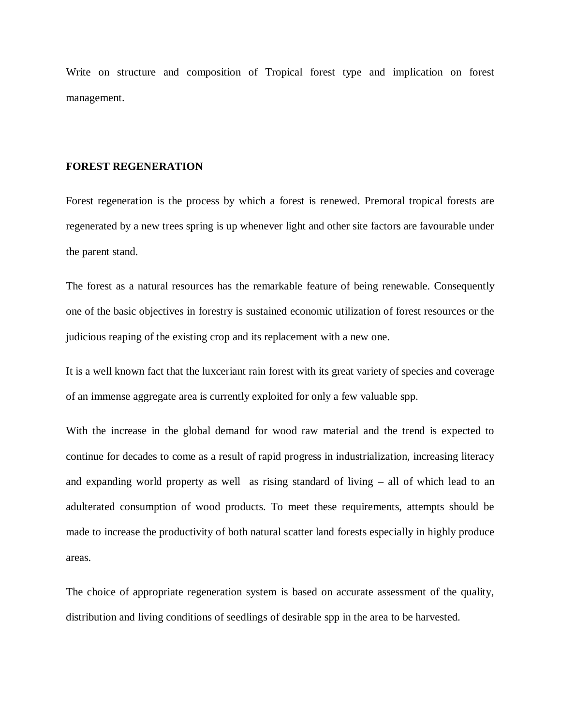Write on structure and composition of Tropical forest type and implication on forest management.

#### **FOREST REGENERATION**

Forest regeneration is the process by which a forest is renewed. Premoral tropical forests are regenerated by a new trees spring is up whenever light and other site factors are favourable under the parent stand.

The forest as a natural resources has the remarkable feature of being renewable. Consequently one of the basic objectives in forestry is sustained economic utilization of forest resources or the judicious reaping of the existing crop and its replacement with a new one.

It is a well known fact that the luxceriant rain forest with its great variety of species and coverage of an immense aggregate area is currently exploited for only a few valuable spp.

With the increase in the global demand for wood raw material and the trend is expected to continue for decades to come as a result of rapid progress in industrialization, increasing literacy and expanding world property as well as rising standard of living – all of which lead to an adulterated consumption of wood products. To meet these requirements, attempts should be made to increase the productivity of both natural scatter land forests especially in highly produce areas.

The choice of appropriate regeneration system is based on accurate assessment of the quality, distribution and living conditions of seedlings of desirable spp in the area to be harvested.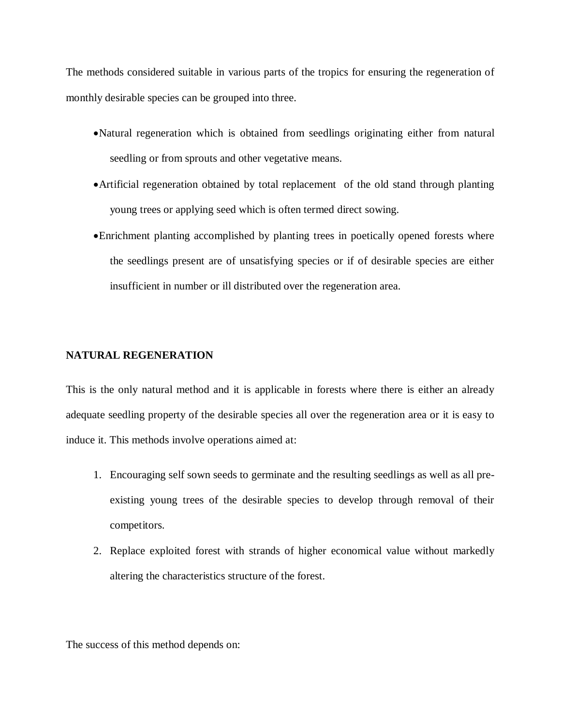The methods considered suitable in various parts of the tropics for ensuring the regeneration of monthly desirable species can be grouped into three.

- Natural regeneration which is obtained from seedlings originating either from natural seedling or from sprouts and other vegetative means.
- Artificial regeneration obtained by total replacement of the old stand through planting young trees or applying seed which is often termed direct sowing.
- Enrichment planting accomplished by planting trees in poetically opened forests where the seedlings present are of unsatisfying species or if of desirable species are either insufficient in number or ill distributed over the regeneration area.

# **NATURAL REGENERATION**

This is the only natural method and it is applicable in forests where there is either an already adequate seedling property of the desirable species all over the regeneration area or it is easy to induce it. This methods involve operations aimed at:

- 1. Encouraging self sown seeds to germinate and the resulting seedlings as well as all preexisting young trees of the desirable species to develop through removal of their competitors.
- 2. Replace exploited forest with strands of higher economical value without markedly altering the characteristics structure of the forest.

The success of this method depends on: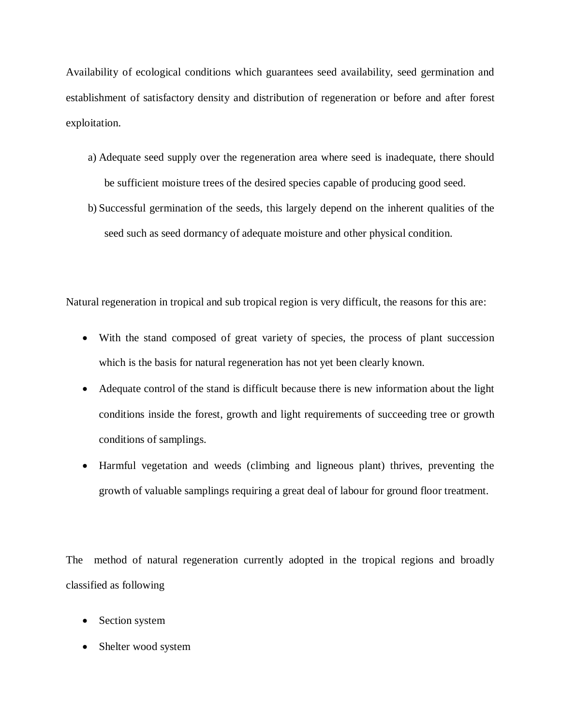Availability of ecological conditions which guarantees seed availability, seed germination and establishment of satisfactory density and distribution of regeneration or before and after forest exploitation.

- a) Adequate seed supply over the regeneration area where seed is inadequate, there should be sufficient moisture trees of the desired species capable of producing good seed.
- b) Successful germination of the seeds, this largely depend on the inherent qualities of the seed such as seed dormancy of adequate moisture and other physical condition.

Natural regeneration in tropical and sub tropical region is very difficult, the reasons for this are:

- With the stand composed of great variety of species, the process of plant succession which is the basis for natural regeneration has not yet been clearly known.
- Adequate control of the stand is difficult because there is new information about the light conditions inside the forest, growth and light requirements of succeeding tree or growth conditions of samplings.
- Harmful vegetation and weeds (climbing and ligneous plant) thrives, preventing the growth of valuable samplings requiring a great deal of labour for ground floor treatment.

The method of natural regeneration currently adopted in the tropical regions and broadly classified as following

- Section system
- Shelter wood system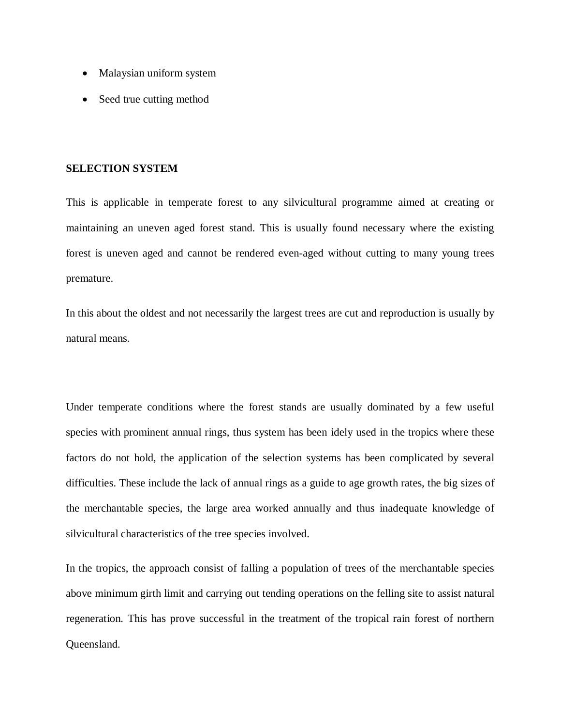- Malaysian uniform system
- Seed true cutting method

#### **SELECTION SYSTEM**

This is applicable in temperate forest to any silvicultural programme aimed at creating or maintaining an uneven aged forest stand. This is usually found necessary where the existing forest is uneven aged and cannot be rendered even-aged without cutting to many young trees premature.

In this about the oldest and not necessarily the largest trees are cut and reproduction is usually by natural means.

Under temperate conditions where the forest stands are usually dominated by a few useful species with prominent annual rings, thus system has been idely used in the tropics where these factors do not hold, the application of the selection systems has been complicated by several difficulties. These include the lack of annual rings as a guide to age growth rates, the big sizes of the merchantable species, the large area worked annually and thus inadequate knowledge of silvicultural characteristics of the tree species involved.

In the tropics, the approach consist of falling a population of trees of the merchantable species above minimum girth limit and carrying out tending operations on the felling site to assist natural regeneration. This has prove successful in the treatment of the tropical rain forest of northern Queensland.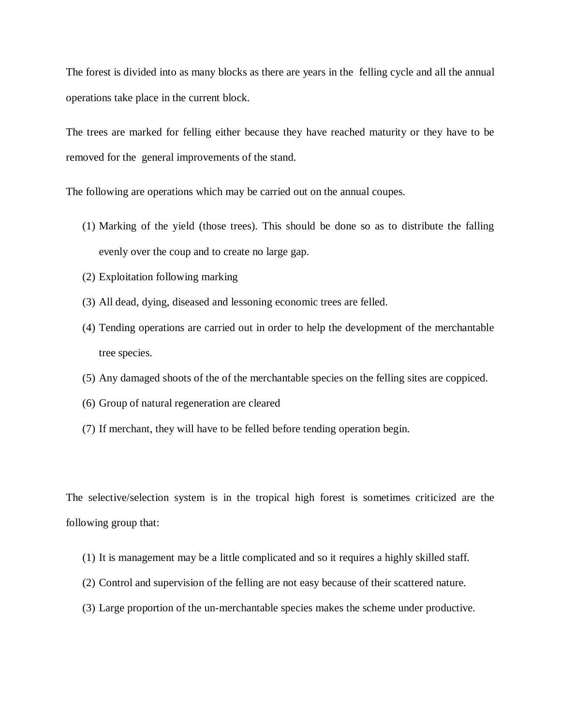The forest is divided into as many blocks as there are years in the felling cycle and all the annual operations take place in the current block.

The trees are marked for felling either because they have reached maturity or they have to be removed for the general improvements of the stand.

The following are operations which may be carried out on the annual coupes.

- (1) Marking of the yield (those trees). This should be done so as to distribute the falling evenly over the coup and to create no large gap.
- (2) Exploitation following marking
- (3) All dead, dying, diseased and lessoning economic trees are felled.
- (4) Tending operations are carried out in order to help the development of the merchantable tree species.
- (5) Any damaged shoots of the of the merchantable species on the felling sites are coppiced.
- (6) Group of natural regeneration are cleared
- (7) If merchant, they will have to be felled before tending operation begin.

The selective/selection system is in the tropical high forest is sometimes criticized are the following group that:

- (1) It is management may be a little complicated and so it requires a highly skilled staff.
- (2) Control and supervision of the felling are not easy because of their scattered nature.
- (3) Large proportion of the un-merchantable species makes the scheme under productive.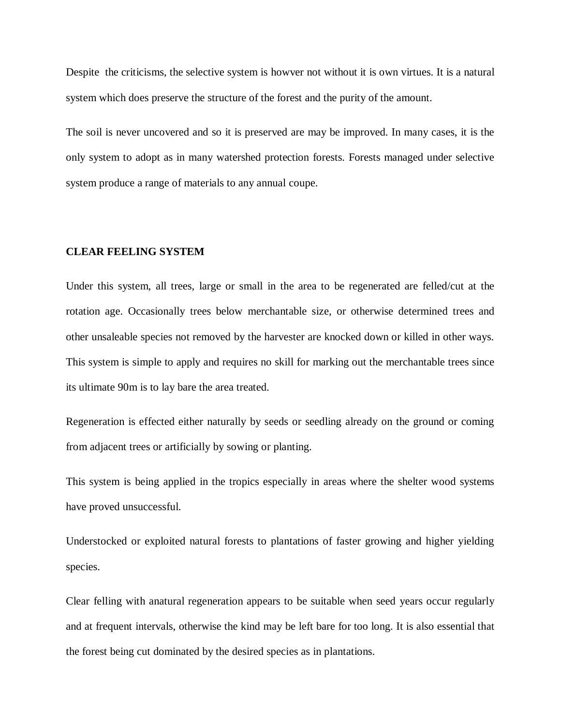Despite the criticisms, the selective system is howver not without it is own virtues. It is a natural system which does preserve the structure of the forest and the purity of the amount.

The soil is never uncovered and so it is preserved are may be improved. In many cases, it is the only system to adopt as in many watershed protection forests. Forests managed under selective system produce a range of materials to any annual coupe.

#### **CLEAR FEELING SYSTEM**

Under this system, all trees, large or small in the area to be regenerated are felled/cut at the rotation age. Occasionally trees below merchantable size, or otherwise determined trees and other unsaleable species not removed by the harvester are knocked down or killed in other ways. This system is simple to apply and requires no skill for marking out the merchantable trees since its ultimate 90m is to lay bare the area treated.

Regeneration is effected either naturally by seeds or seedling already on the ground or coming from adjacent trees or artificially by sowing or planting.

This system is being applied in the tropics especially in areas where the shelter wood systems have proved unsuccessful.

Understocked or exploited natural forests to plantations of faster growing and higher yielding species.

Clear felling with anatural regeneration appears to be suitable when seed years occur regularly and at frequent intervals, otherwise the kind may be left bare for too long. It is also essential that the forest being cut dominated by the desired species as in plantations.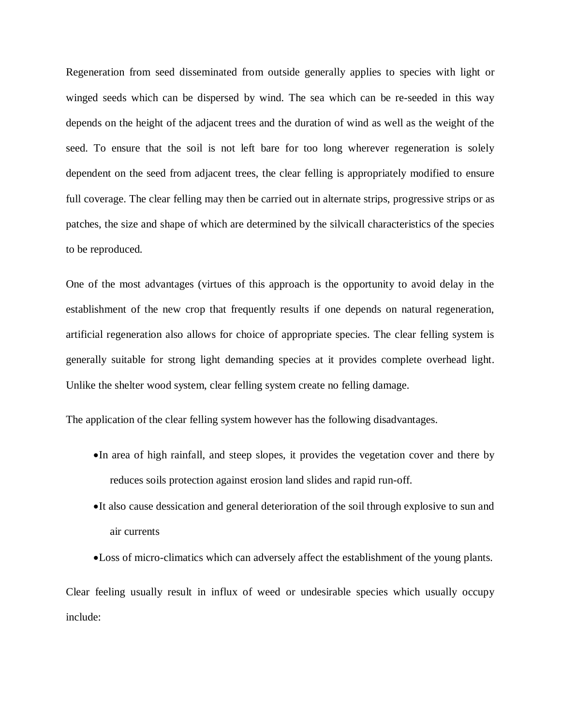Regeneration from seed disseminated from outside generally applies to species with light or winged seeds which can be dispersed by wind. The sea which can be re-seeded in this way depends on the height of the adjacent trees and the duration of wind as well as the weight of the seed. To ensure that the soil is not left bare for too long wherever regeneration is solely dependent on the seed from adjacent trees, the clear felling is appropriately modified to ensure full coverage. The clear felling may then be carried out in alternate strips, progressive strips or as patches, the size and shape of which are determined by the silvicall characteristics of the species to be reproduced.

One of the most advantages (virtues of this approach is the opportunity to avoid delay in the establishment of the new crop that frequently results if one depends on natural regeneration, artificial regeneration also allows for choice of appropriate species. The clear felling system is generally suitable for strong light demanding species at it provides complete overhead light. Unlike the shelter wood system, clear felling system create no felling damage.

The application of the clear felling system however has the following disadvantages.

- In area of high rainfall, and steep slopes, it provides the vegetation cover and there by reduces soils protection against erosion land slides and rapid run-off.
- It also cause dessication and general deterioration of the soil through explosive to sun and air currents
- Loss of micro-climatics which can adversely affect the establishment of the young plants.

Clear feeling usually result in influx of weed or undesirable species which usually occupy include: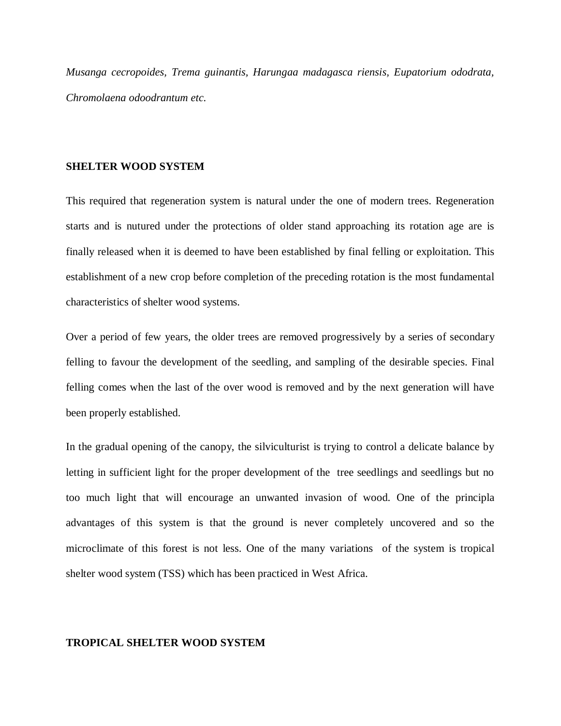*Musanga cecropoides, Trema guinantis, Harungaa madagasca riensis, Eupatorium ododrata, Chromolaena odoodrantum etc.* 

#### **SHELTER WOOD SYSTEM**

This required that regeneration system is natural under the one of modern trees. Regeneration starts and is nutured under the protections of older stand approaching its rotation age are is finally released when it is deemed to have been established by final felling or exploitation. This establishment of a new crop before completion of the preceding rotation is the most fundamental characteristics of shelter wood systems.

Over a period of few years, the older trees are removed progressively by a series of secondary felling to favour the development of the seedling, and sampling of the desirable species. Final felling comes when the last of the over wood is removed and by the next generation will have been properly established.

In the gradual opening of the canopy, the silviculturist is trying to control a delicate balance by letting in sufficient light for the proper development of the tree seedlings and seedlings but no too much light that will encourage an unwanted invasion of wood. One of the principla advantages of this system is that the ground is never completely uncovered and so the microclimate of this forest is not less. One of the many variations of the system is tropical shelter wood system (TSS) which has been practiced in West Africa.

#### **TROPICAL SHELTER WOOD SYSTEM**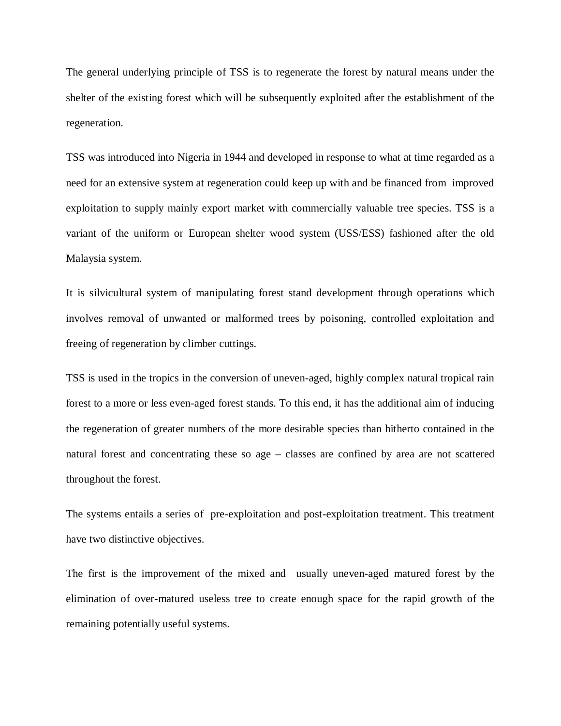The general underlying principle of TSS is to regenerate the forest by natural means under the shelter of the existing forest which will be subsequently exploited after the establishment of the regeneration.

TSS was introduced into Nigeria in 1944 and developed in response to what at time regarded as a need for an extensive system at regeneration could keep up with and be financed from improved exploitation to supply mainly export market with commercially valuable tree species. TSS is a variant of the uniform or European shelter wood system (USS/ESS) fashioned after the old Malaysia system.

It is silvicultural system of manipulating forest stand development through operations which involves removal of unwanted or malformed trees by poisoning, controlled exploitation and freeing of regeneration by climber cuttings.

TSS is used in the tropics in the conversion of uneven-aged, highly complex natural tropical rain forest to a more or less even-aged forest stands. To this end, it has the additional aim of inducing the regeneration of greater numbers of the more desirable species than hitherto contained in the natural forest and concentrating these so age – classes are confined by area are not scattered throughout the forest.

The systems entails a series of pre-exploitation and post-exploitation treatment. This treatment have two distinctive objectives.

The first is the improvement of the mixed and usually uneven-aged matured forest by the elimination of over-matured useless tree to create enough space for the rapid growth of the remaining potentially useful systems.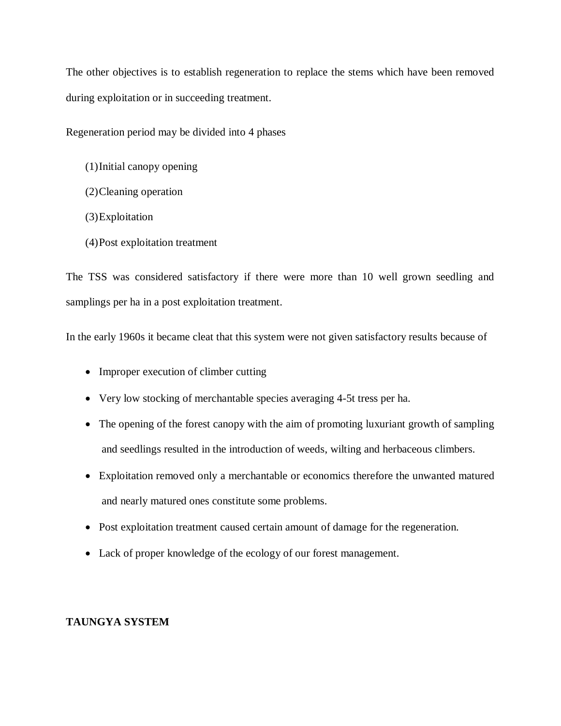The other objectives is to establish regeneration to replace the stems which have been removed during exploitation or in succeeding treatment.

Regeneration period may be divided into 4 phases

- (1)Initial canopy opening
- (2)Cleaning operation
- (3)Exploitation
- (4)Post exploitation treatment

The TSS was considered satisfactory if there were more than 10 well grown seedling and samplings per ha in a post exploitation treatment.

In the early 1960s it became cleat that this system were not given satisfactory results because of

- Improper execution of climber cutting
- Very low stocking of merchantable species averaging 4-5t tress per ha.
- The opening of the forest canopy with the aim of promoting luxuriant growth of sampling and seedlings resulted in the introduction of weeds, wilting and herbaceous climbers.
- Exploitation removed only a merchantable or economics therefore the unwanted matured and nearly matured ones constitute some problems.
- Post exploitation treatment caused certain amount of damage for the regeneration.
- Lack of proper knowledge of the ecology of our forest management.

# **TAUNGYA SYSTEM**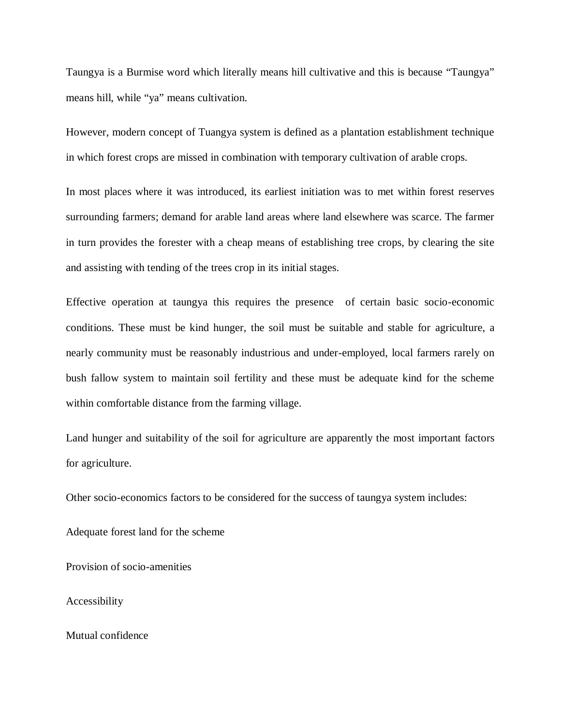Taungya is a Burmise word which literally means hill cultivative and this is because "Taungya" means hill, while "ya" means cultivation.

However, modern concept of Tuangya system is defined as a plantation establishment technique in which forest crops are missed in combination with temporary cultivation of arable crops.

In most places where it was introduced, its earliest initiation was to met within forest reserves surrounding farmers; demand for arable land areas where land elsewhere was scarce. The farmer in turn provides the forester with a cheap means of establishing tree crops, by clearing the site and assisting with tending of the trees crop in its initial stages.

Effective operation at taungya this requires the presence of certain basic socio-economic conditions. These must be kind hunger, the soil must be suitable and stable for agriculture, a nearly community must be reasonably industrious and under-employed, local farmers rarely on bush fallow system to maintain soil fertility and these must be adequate kind for the scheme within comfortable distance from the farming village.

Land hunger and suitability of the soil for agriculture are apparently the most important factors for agriculture.

Other socio-economics factors to be considered for the success of taungya system includes:

Adequate forest land for the scheme

Provision of socio-amenities

Accessibility

Mutual confidence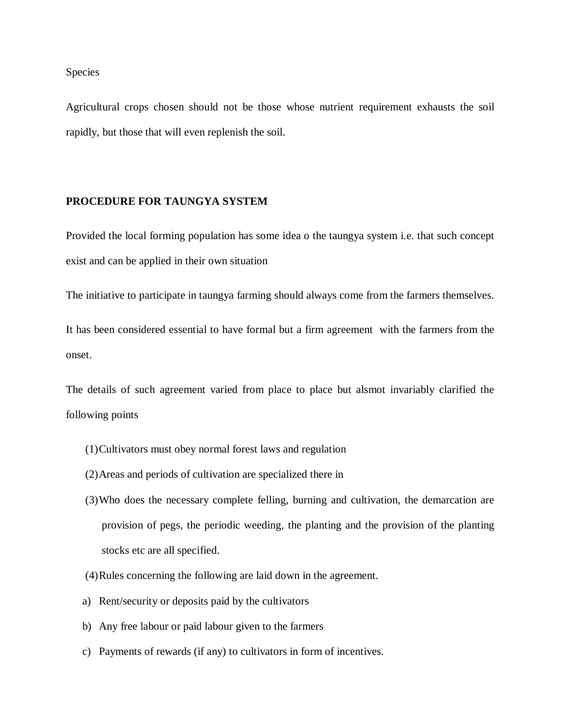#### Species

Agricultural crops chosen should not be those whose nutrient requirement exhausts the soil rapidly, but those that will even replenish the soil.

#### **PROCEDURE FOR TAUNGYA SYSTEM**

Provided the local forming population has some idea o the taungya system i.e. that such concept exist and can be applied in their own situation

The initiative to participate in taungya farming should always come from the farmers themselves.

It has been considered essential to have formal but a firm agreement with the farmers from the onset.

The details of such agreement varied from place to place but alsmot invariably clarified the following points

- (1)Cultivators must obey normal forest laws and regulation
- (2)Areas and periods of cultivation are specialized there in
- (3)Who does the necessary complete felling, burning and cultivation, the demarcation are provision of pegs, the periodic weeding, the planting and the provision of the planting stocks etc are all specified.
- (4)Rules concerning the following are laid down in the agreement.
- a) Rent/security or deposits paid by the cultivators
- b) Any free labour or paid labour given to the farmers
- c) Payments of rewards (if any) to cultivators in form of incentives.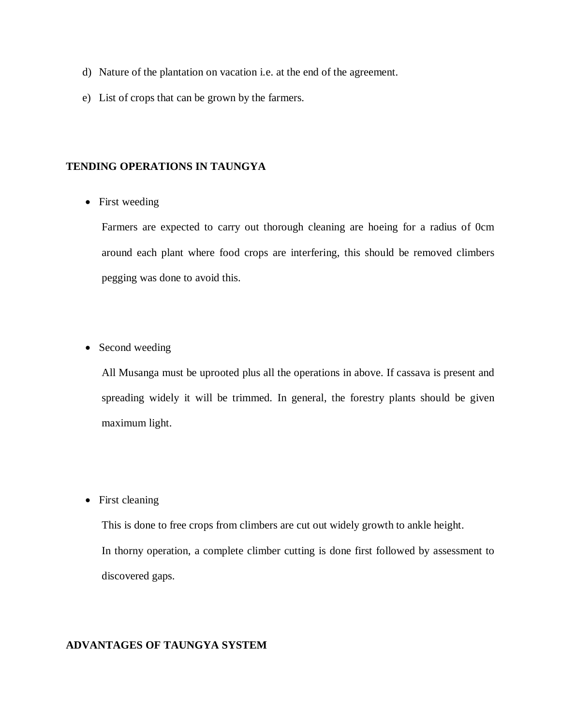- d) Nature of the plantation on vacation i.e. at the end of the agreement.
- e) List of crops that can be grown by the farmers.

## **TENDING OPERATIONS IN TAUNGYA**

• First weeding

Farmers are expected to carry out thorough cleaning are hoeing for a radius of 0cm around each plant where food crops are interfering, this should be removed climbers pegging was done to avoid this.

• Second weeding

All Musanga must be uprooted plus all the operations in above. If cassava is present and spreading widely it will be trimmed. In general, the forestry plants should be given maximum light.

• First cleaning

This is done to free crops from climbers are cut out widely growth to ankle height. In thorny operation, a complete climber cutting is done first followed by assessment to discovered gaps.

# **ADVANTAGES OF TAUNGYA SYSTEM**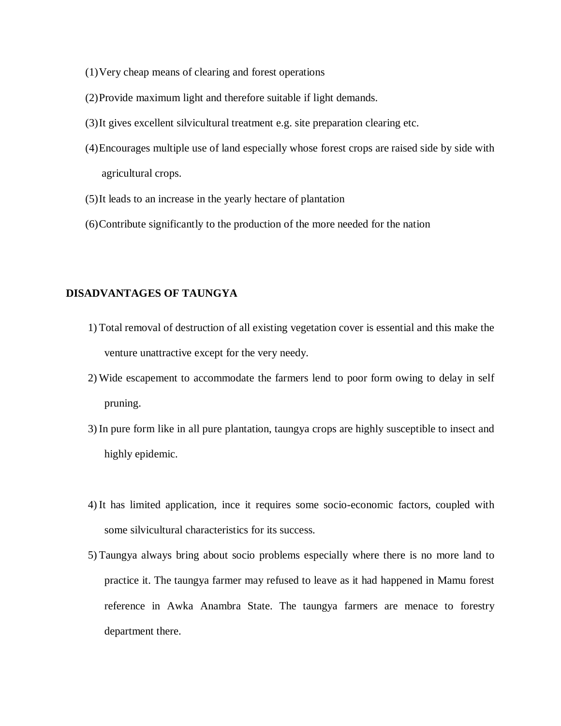- (1)Very cheap means of clearing and forest operations
- (2)Provide maximum light and therefore suitable if light demands.
- (3)It gives excellent silvicultural treatment e.g. site preparation clearing etc.
- (4)Encourages multiple use of land especially whose forest crops are raised side by side with agricultural crops.
- (5)It leads to an increase in the yearly hectare of plantation
- (6)Contribute significantly to the production of the more needed for the nation

#### **DISADVANTAGES OF TAUNGYA**

- 1) Total removal of destruction of all existing vegetation cover is essential and this make the venture unattractive except for the very needy.
- 2) Wide escapement to accommodate the farmers lend to poor form owing to delay in self pruning.
- 3) In pure form like in all pure plantation, taungya crops are highly susceptible to insect and highly epidemic.
- 4) It has limited application, ince it requires some socio-economic factors, coupled with some silvicultural characteristics for its success.
- 5) Taungya always bring about socio problems especially where there is no more land to practice it. The taungya farmer may refused to leave as it had happened in Mamu forest reference in Awka Anambra State. The taungya farmers are menace to forestry department there.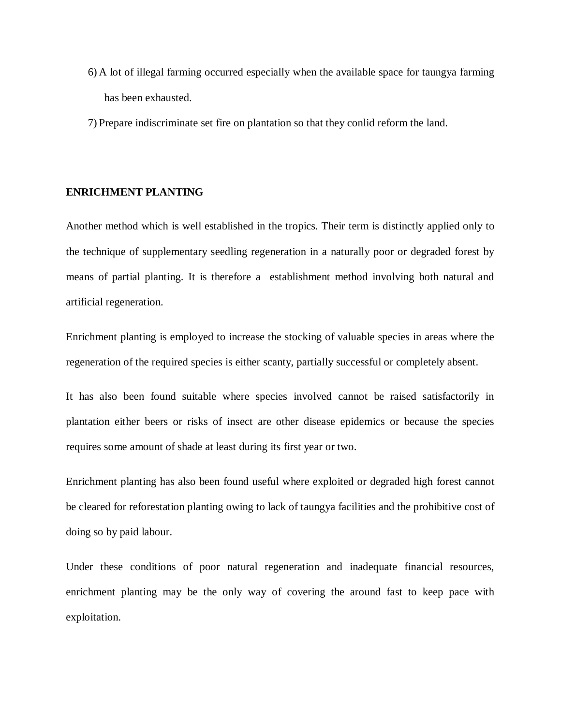- 6) A lot of illegal farming occurred especially when the available space for taungya farming has been exhausted.
- 7) Prepare indiscriminate set fire on plantation so that they conlid reform the land.

#### **ENRICHMENT PLANTING**

Another method which is well established in the tropics. Their term is distinctly applied only to the technique of supplementary seedling regeneration in a naturally poor or degraded forest by means of partial planting. It is therefore a establishment method involving both natural and artificial regeneration.

Enrichment planting is employed to increase the stocking of valuable species in areas where the regeneration of the required species is either scanty, partially successful or completely absent.

It has also been found suitable where species involved cannot be raised satisfactorily in plantation either beers or risks of insect are other disease epidemics or because the species requires some amount of shade at least during its first year or two.

Enrichment planting has also been found useful where exploited or degraded high forest cannot be cleared for reforestation planting owing to lack of taungya facilities and the prohibitive cost of doing so by paid labour.

Under these conditions of poor natural regeneration and inadequate financial resources, enrichment planting may be the only way of covering the around fast to keep pace with exploitation.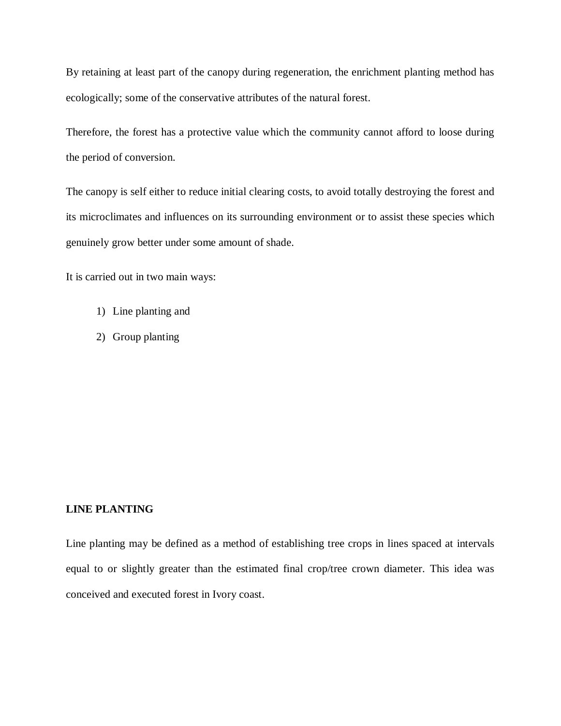By retaining at least part of the canopy during regeneration, the enrichment planting method has ecologically; some of the conservative attributes of the natural forest.

Therefore, the forest has a protective value which the community cannot afford to loose during the period of conversion.

The canopy is self either to reduce initial clearing costs, to avoid totally destroying the forest and its microclimates and influences on its surrounding environment or to assist these species which genuinely grow better under some amount of shade.

It is carried out in two main ways:

- 1) Line planting and
- 2) Group planting

# **LINE PLANTING**

Line planting may be defined as a method of establishing tree crops in lines spaced at intervals equal to or slightly greater than the estimated final crop/tree crown diameter. This idea was conceived and executed forest in Ivory coast.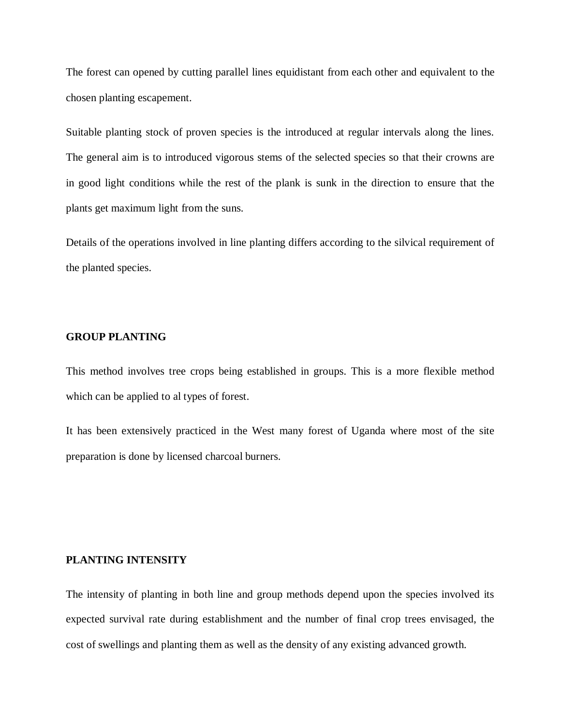The forest can opened by cutting parallel lines equidistant from each other and equivalent to the chosen planting escapement.

Suitable planting stock of proven species is the introduced at regular intervals along the lines. The general aim is to introduced vigorous stems of the selected species so that their crowns are in good light conditions while the rest of the plank is sunk in the direction to ensure that the plants get maximum light from the suns.

Details of the operations involved in line planting differs according to the silvical requirement of the planted species.

#### **GROUP PLANTING**

This method involves tree crops being established in groups. This is a more flexible method which can be applied to al types of forest.

It has been extensively practiced in the West many forest of Uganda where most of the site preparation is done by licensed charcoal burners.

# **PLANTING INTENSITY**

The intensity of planting in both line and group methods depend upon the species involved its expected survival rate during establishment and the number of final crop trees envisaged, the cost of swellings and planting them as well as the density of any existing advanced growth.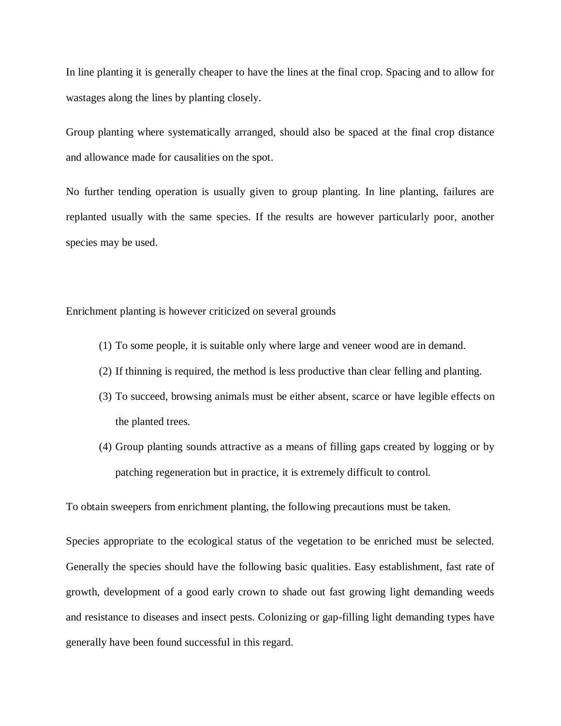In line planting it is generally cheaper to have the lines at the final crop. Spacing and to allow for wastages along the lines by planting closely.

Group planting where systematically arranged, should also be spaced at the final crop distance and allowance made for causalities on the spot.

No further tending operation is usually given to group planting. In line planting, failures are replanted usually with the same species. If the results are however particularly poor, another species may be used.

Enrichment planting is however criticized on several grounds

- (1) To some people, it is suitable only where large and veneer wood are in demand.
- (2) If thinning is required, the method is less productive than clear felling and planting.
- (3) To succeed, browsing animals must be either absent, scarce or have legible effects on the planted trees.
- (4) Group planting sounds attractive as a means of filling gaps created by logging or by patching regeneration but in practice, it is extremely difficult to control.

To obtain sweepers from enrichment planting, the following precautions must be taken.

Species appropriate to the ecological status of the vegetation to be enriched must be selected. Generally the species should have the following basic qualities. Easy establishment, fast rate of growth, development of a good early crown to shade out fast growing light demanding weeds and resistance to diseases and insect pests. Colonizing or gap-filling light demanding types have generally have been found successful in this regard.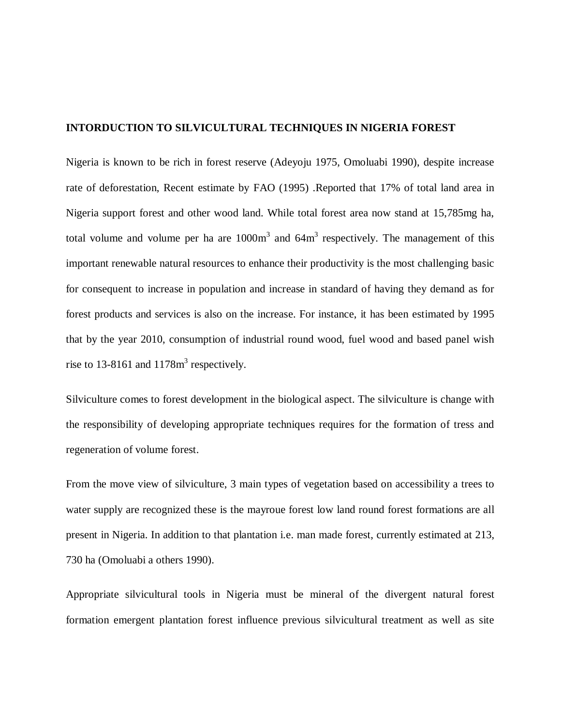#### **INTORDUCTION TO SILVICULTURAL TECHNIQUES IN NIGERIA FOREST**

Nigeria is known to be rich in forest reserve (Adeyoju 1975, Omoluabi 1990), despite increase rate of deforestation, Recent estimate by FAO (1995) .Reported that 17% of total land area in Nigeria support forest and other wood land. While total forest area now stand at 15,785mg ha, total volume and volume per ha are  $1000m<sup>3</sup>$  and  $64m<sup>3</sup>$  respectively. The management of this important renewable natural resources to enhance their productivity is the most challenging basic for consequent to increase in population and increase in standard of having they demand as for forest products and services is also on the increase. For instance, it has been estimated by 1995 that by the year 2010, consumption of industrial round wood, fuel wood and based panel wish rise to 13-8161 and  $1178m<sup>3</sup>$  respectively.

Silviculture comes to forest development in the biological aspect. The silviculture is change with the responsibility of developing appropriate techniques requires for the formation of tress and regeneration of volume forest.

From the move view of silviculture, 3 main types of vegetation based on accessibility a trees to water supply are recognized these is the mayroue forest low land round forest formations are all present in Nigeria. In addition to that plantation i.e. man made forest, currently estimated at 213, 730 ha (Omoluabi a others 1990).

Appropriate silvicultural tools in Nigeria must be mineral of the divergent natural forest formation emergent plantation forest influence previous silvicultural treatment as well as site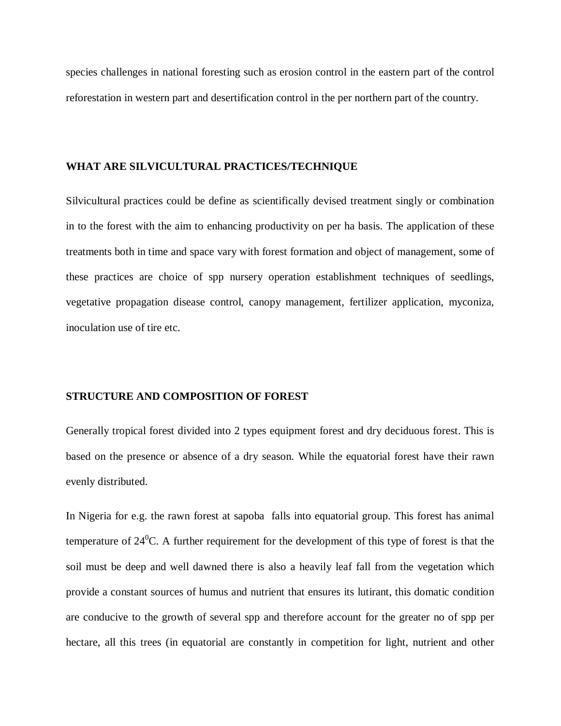species challenges in national foresting such as erosion control in the eastern part of the control reforestation in western part and desertification control in the per northern part of the country.

#### **WHAT ARE SILVICULTURAL PRACTICES/TECHNIQUE**

Silvicultural practices could be define as scientifically devised treatment singly or combination in to the forest with the aim to enhancing productivity on per ha basis. The application of these treatments both in time and space vary with forest formation and object of management, some of these practices are choice of spp nursery operation establishment techniques of seedlings, vegetative propagation disease control, canopy management, fertilizer application, myconiza, inoculation use of tire etc.

#### **STRUCTURE AND COMPOSITION OF FOREST**

Generally tropical forest divided into 2 types equipment forest and dry deciduous forest. This is based on the presence or absence of a dry season. While the equatorial forest have their rawn evenly distributed.

In Nigeria for e.g. the rawn forest at sapoba falls into equatorial group. This forest has animal temperature of  $24^{\circ}$ C. A further requirement for the development of this type of forest is that the soil must be deep and well dawned there is also a heavily leaf fall from the vegetation which provide a constant sources of humus and nutrient that ensures its lutirant, this domatic condition are conducive to the growth of several spp and therefore account for the greater no of spp per hectare, all this trees (in equatorial are constantly in competition for light, nutrient and other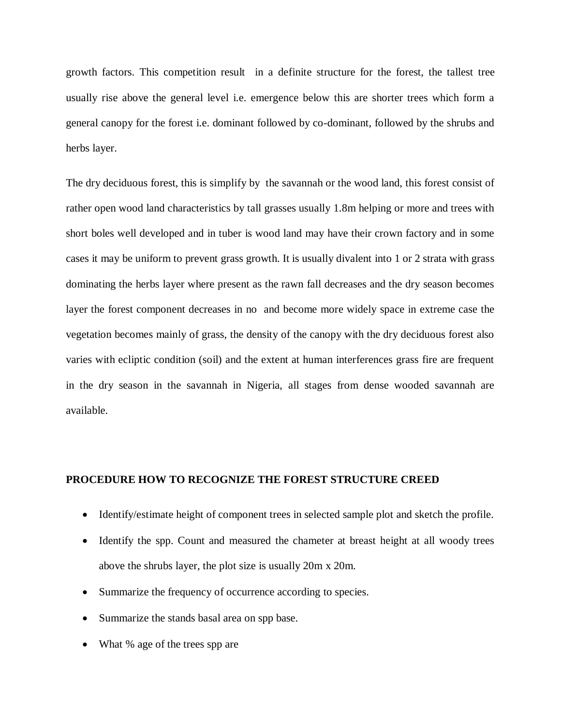growth factors. This competition result in a definite structure for the forest, the tallest tree usually rise above the general level i.e. emergence below this are shorter trees which form a general canopy for the forest i.e. dominant followed by co-dominant, followed by the shrubs and herbs layer.

The dry deciduous forest, this is simplify by the savannah or the wood land, this forest consist of rather open wood land characteristics by tall grasses usually 1.8m helping or more and trees with short boles well developed and in tuber is wood land may have their crown factory and in some cases it may be uniform to prevent grass growth. It is usually divalent into 1 or 2 strata with grass dominating the herbs layer where present as the rawn fall decreases and the dry season becomes layer the forest component decreases in no and become more widely space in extreme case the vegetation becomes mainly of grass, the density of the canopy with the dry deciduous forest also varies with ecliptic condition (soil) and the extent at human interferences grass fire are frequent in the dry season in the savannah in Nigeria, all stages from dense wooded savannah are available.

#### **PROCEDURE HOW TO RECOGNIZE THE FOREST STRUCTURE CREED**

- Identify/estimate height of component trees in selected sample plot and sketch the profile.
- Identify the spp. Count and measured the chameter at breast height at all woody trees above the shrubs layer, the plot size is usually 20m x 20m.
- Summarize the frequency of occurrence according to species.
- Summarize the stands basal area on spp base.
- What % age of the trees spp are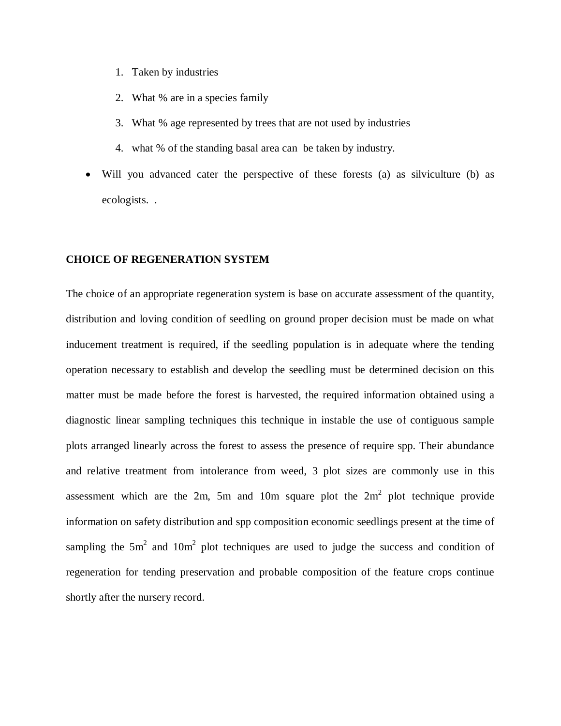- 1. Taken by industries
- 2. What % are in a species family
- 3. What % age represented by trees that are not used by industries
- 4. what % of the standing basal area can be taken by industry.
- Will you advanced cater the perspective of these forests (a) as silviculture (b) as ecologists. .

#### **CHOICE OF REGENERATION SYSTEM**

The choice of an appropriate regeneration system is base on accurate assessment of the quantity, distribution and loving condition of seedling on ground proper decision must be made on what inducement treatment is required, if the seedling population is in adequate where the tending operation necessary to establish and develop the seedling must be determined decision on this matter must be made before the forest is harvested, the required information obtained using a diagnostic linear sampling techniques this technique in instable the use of contiguous sample plots arranged linearly across the forest to assess the presence of require spp. Their abundance and relative treatment from intolerance from weed, 3 plot sizes are commonly use in this assessment which are the 2m, 5m and 10m square plot the  $2m^2$  plot technique provide information on safety distribution and spp composition economic seedlings present at the time of sampling the  $5m^2$  and  $10m^2$  plot techniques are used to judge the success and condition of regeneration for tending preservation and probable composition of the feature crops continue shortly after the nursery record.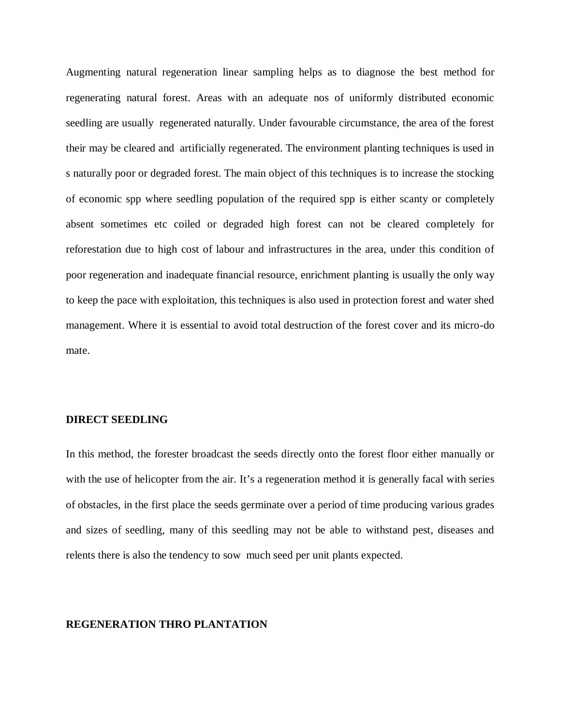Augmenting natural regeneration linear sampling helps as to diagnose the best method for regenerating natural forest. Areas with an adequate nos of uniformly distributed economic seedling are usually regenerated naturally. Under favourable circumstance, the area of the forest their may be cleared and artificially regenerated. The environment planting techniques is used in s naturally poor or degraded forest. The main object of this techniques is to increase the stocking of economic spp where seedling population of the required spp is either scanty or completely absent sometimes etc coiled or degraded high forest can not be cleared completely for reforestation due to high cost of labour and infrastructures in the area, under this condition of poor regeneration and inadequate financial resource, enrichment planting is usually the only way to keep the pace with exploitation, this techniques is also used in protection forest and water shed management. Where it is essential to avoid total destruction of the forest cover and its micro-do mate.

#### **DIRECT SEEDLING**

In this method, the forester broadcast the seeds directly onto the forest floor either manually or with the use of helicopter from the air. It's a regeneration method it is generally facal with series of obstacles, in the first place the seeds germinate over a period of time producing various grades and sizes of seedling, many of this seedling may not be able to withstand pest, diseases and relents there is also the tendency to sow much seed per unit plants expected.

#### **REGENERATION THRO PLANTATION**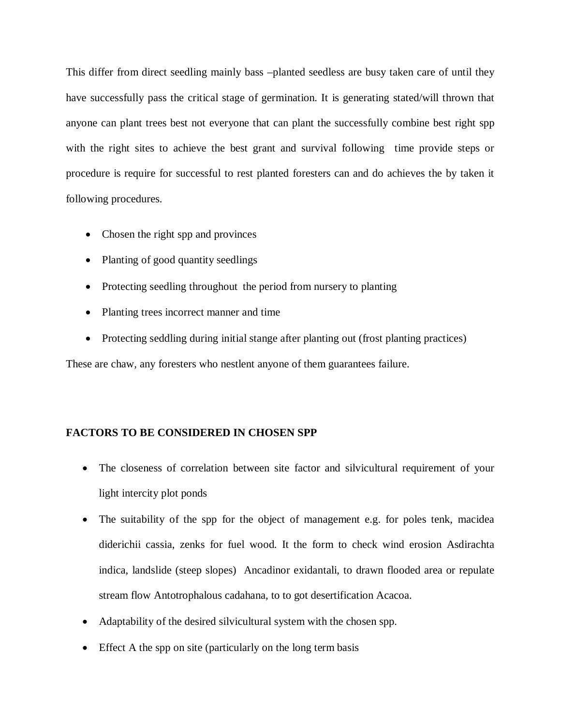This differ from direct seedling mainly bass –planted seedless are busy taken care of until they have successfully pass the critical stage of germination. It is generating stated/will thrown that anyone can plant trees best not everyone that can plant the successfully combine best right spp with the right sites to achieve the best grant and survival following time provide steps or procedure is require for successful to rest planted foresters can and do achieves the by taken it following procedures.

- Chosen the right spp and provinces
- Planting of good quantity seedlings
- Protecting seedling throughout the period from nursery to planting
- Planting trees incorrect manner and time
- Protecting seddling during initial stange after planting out (frost planting practices)

These are chaw, any foresters who nestlent anyone of them guarantees failure.

# **FACTORS TO BE CONSIDERED IN CHOSEN SPP**

- The closeness of correlation between site factor and silvicultural requirement of your light intercity plot ponds
- The suitability of the spp for the object of management e.g. for poles tenk, macidea diderichii cassia, zenks for fuel wood. It the form to check wind erosion Asdirachta indica, landslide (steep slopes) Ancadinor exidantali, to drawn flooded area or repulate stream flow Antotrophalous cadahana, to to got desertification Acacoa.
- Adaptability of the desired silvicultural system with the chosen spp.
- Effect A the spp on site (particularly on the long term basis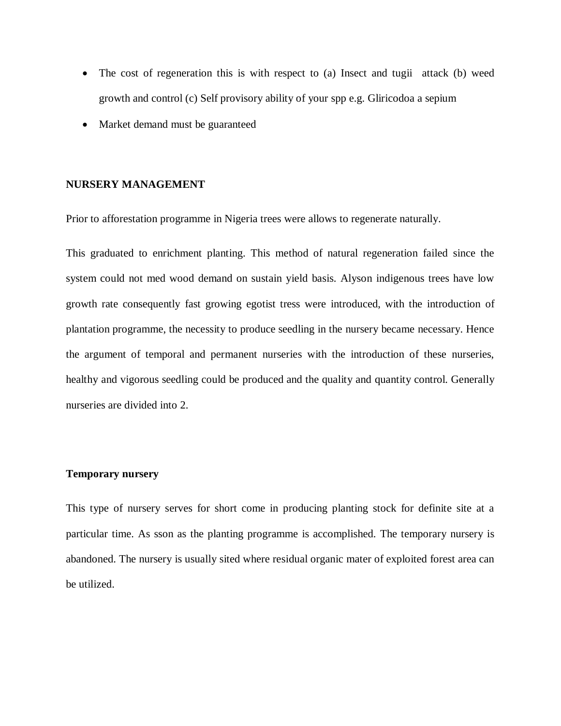- The cost of regeneration this is with respect to (a) Insect and tugii attack (b) weed growth and control (c) Self provisory ability of your spp e.g. Gliricodoa a sepium
- Market demand must be guaranteed

#### **NURSERY MANAGEMENT**

Prior to afforestation programme in Nigeria trees were allows to regenerate naturally.

This graduated to enrichment planting. This method of natural regeneration failed since the system could not med wood demand on sustain yield basis. Alyson indigenous trees have low growth rate consequently fast growing egotist tress were introduced, with the introduction of plantation programme, the necessity to produce seedling in the nursery became necessary. Hence the argument of temporal and permanent nurseries with the introduction of these nurseries, healthy and vigorous seedling could be produced and the quality and quantity control. Generally nurseries are divided into 2.

### **Temporary nursery**

This type of nursery serves for short come in producing planting stock for definite site at a particular time. As sson as the planting programme is accomplished. The temporary nursery is abandoned. The nursery is usually sited where residual organic mater of exploited forest area can be utilized.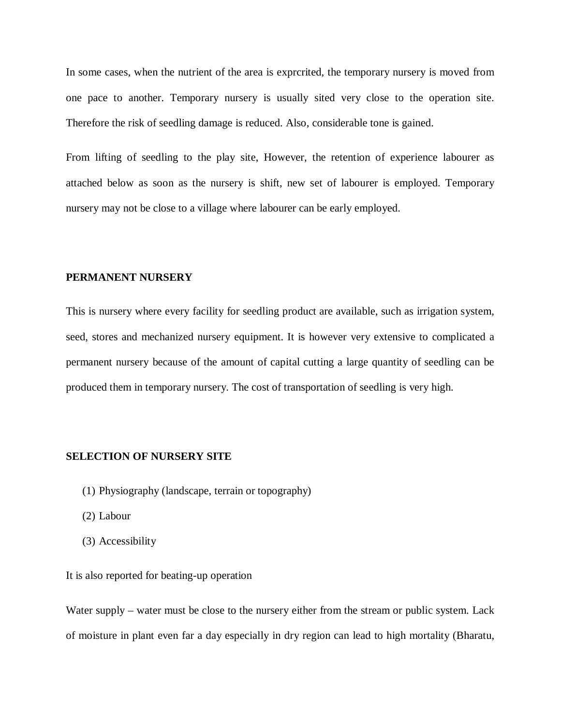In some cases, when the nutrient of the area is exprcrited, the temporary nursery is moved from one pace to another. Temporary nursery is usually sited very close to the operation site. Therefore the risk of seedling damage is reduced. Also, considerable tone is gained.

From lifting of seedling to the play site, However, the retention of experience labourer as attached below as soon as the nursery is shift, new set of labourer is employed. Temporary nursery may not be close to a village where labourer can be early employed.

#### **PERMANENT NURSERY**

This is nursery where every facility for seedling product are available, such as irrigation system, seed, stores and mechanized nursery equipment. It is however very extensive to complicated a permanent nursery because of the amount of capital cutting a large quantity of seedling can be produced them in temporary nursery. The cost of transportation of seedling is very high.

#### **SELECTION OF NURSERY SITE**

- (1) Physiography (landscape, terrain or topography)
- (2) Labour
- (3) Accessibility

### It is also reported for beating-up operation

Water supply – water must be close to the nursery either from the stream or public system. Lack of moisture in plant even far a day especially in dry region can lead to high mortality (Bharatu,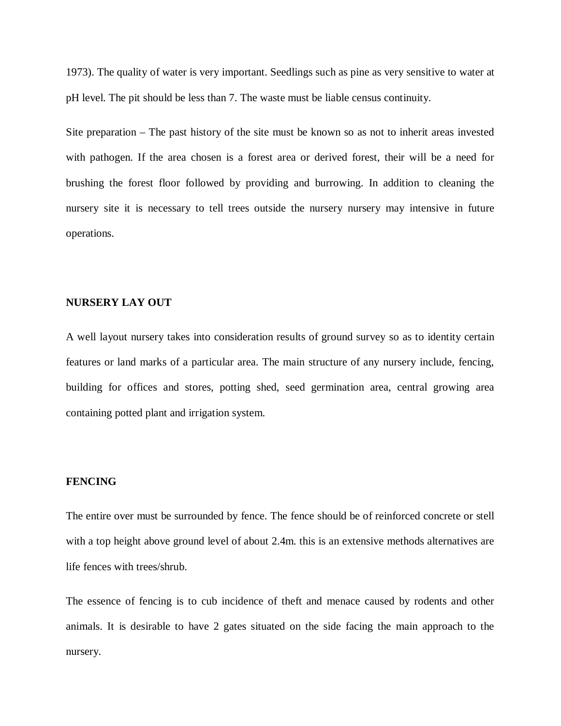1973). The quality of water is very important. Seedlings such as pine as very sensitive to water at pH level. The pit should be less than 7. The waste must be liable census continuity.

Site preparation – The past history of the site must be known so as not to inherit areas invested with pathogen. If the area chosen is a forest area or derived forest, their will be a need for brushing the forest floor followed by providing and burrowing. In addition to cleaning the nursery site it is necessary to tell trees outside the nursery nursery may intensive in future operations.

# **NURSERY LAY OUT**

A well layout nursery takes into consideration results of ground survey so as to identity certain features or land marks of a particular area. The main structure of any nursery include, fencing, building for offices and stores, potting shed, seed germination area, central growing area containing potted plant and irrigation system.

#### **FENCING**

The entire over must be surrounded by fence. The fence should be of reinforced concrete or stell with a top height above ground level of about 2.4m. this is an extensive methods alternatives are life fences with trees/shrub.

The essence of fencing is to cub incidence of theft and menace caused by rodents and other animals. It is desirable to have 2 gates situated on the side facing the main approach to the nursery.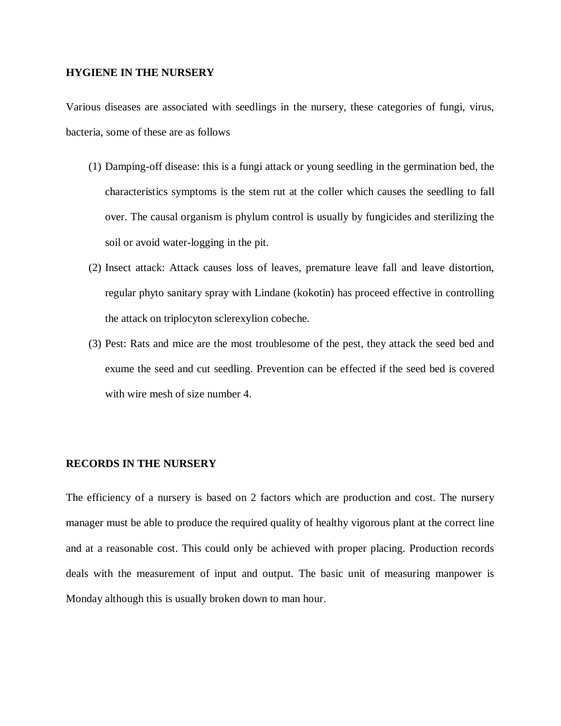#### **HYGIENE IN THE NURSERY**

Various diseases are associated with seedlings in the nursery, these categories of fungi, virus, bacteria, some of these are as follows

- (1) Damping-off disease: this is a fungi attack or young seedling in the germination bed, the characteristics symptoms is the stem rut at the coller which causes the seedling to fall over. The causal organism is phylum control is usually by fungicides and sterilizing the soil or avoid water-logging in the pit.
- (2) Insect attack: Attack causes loss of leaves, premature leave fall and leave distortion, regular phyto sanitary spray with Lindane (kokotin) has proceed effective in controlling the attack on triplocyton sclerexylion cobeche.
- (3) Pest: Rats and mice are the most troublesome of the pest, they attack the seed bed and exume the seed and cut seedling. Prevention can be effected if the seed bed is covered with wire mesh of size number 4.

### **RECORDS IN THE NURSERY**

The efficiency of a nursery is based on 2 factors which are production and cost. The nursery manager must be able to produce the required quality of healthy vigorous plant at the correct line and at a reasonable cost. This could only be achieved with proper placing. Production records deals with the measurement of input and output. The basic unit of measuring manpower is Monday although this is usually broken down to man hour.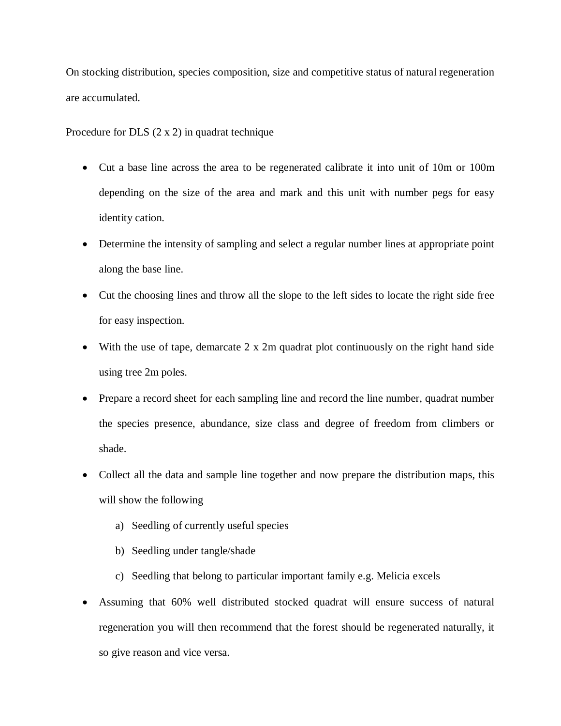On stocking distribution, species composition, size and competitive status of natural regeneration are accumulated.

Procedure for DLS (2 x 2) in quadrat technique

- Cut a base line across the area to be regenerated calibrate it into unit of 10m or 100m depending on the size of the area and mark and this unit with number pegs for easy identity cation.
- Determine the intensity of sampling and select a regular number lines at appropriate point along the base line.
- Cut the choosing lines and throw all the slope to the left sides to locate the right side free for easy inspection.
- With the use of tape, demarcate 2 x 2m quadrat plot continuously on the right hand side using tree 2m poles.
- Prepare a record sheet for each sampling line and record the line number, quadrat number the species presence, abundance, size class and degree of freedom from climbers or shade.
- Collect all the data and sample line together and now prepare the distribution maps, this will show the following
	- a) Seedling of currently useful species
	- b) Seedling under tangle/shade
	- c) Seedling that belong to particular important family e.g. Melicia excels
- Assuming that 60% well distributed stocked quadrat will ensure success of natural regeneration you will then recommend that the forest should be regenerated naturally, it so give reason and vice versa.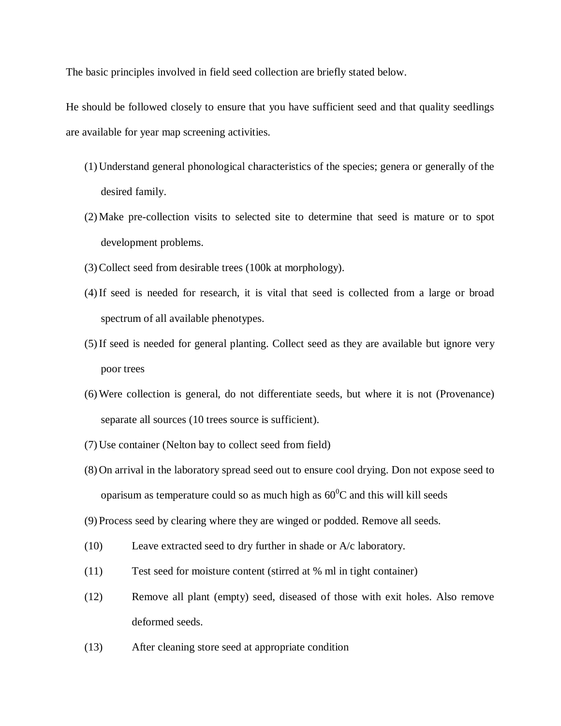The basic principles involved in field seed collection are briefly stated below.

He should be followed closely to ensure that you have sufficient seed and that quality seedlings are available for year map screening activities.

- (1) Understand general phonological characteristics of the species; genera or generally of the desired family.
- (2) Make pre-collection visits to selected site to determine that seed is mature or to spot development problems.
- (3)Collect seed from desirable trees (100k at morphology).
- (4)If seed is needed for research, it is vital that seed is collected from a large or broad spectrum of all available phenotypes.
- (5)If seed is needed for general planting. Collect seed as they are available but ignore very poor trees
- (6)Were collection is general, do not differentiate seeds, but where it is not (Provenance) separate all sources (10 trees source is sufficient).
- (7) Use container (Nelton bay to collect seed from field)
- (8) On arrival in the laboratory spread seed out to ensure cool drying. Don not expose seed to oparisum as temperature could so as much high as  $60^{\circ}$ C and this will kill seeds
- (9) Process seed by clearing where they are winged or podded. Remove all seeds.
- (10) Leave extracted seed to dry further in shade or A/c laboratory.
- (11) Test seed for moisture content (stirred at % ml in tight container)
- (12) Remove all plant (empty) seed, diseased of those with exit holes. Also remove deformed seeds.
- (13) After cleaning store seed at appropriate condition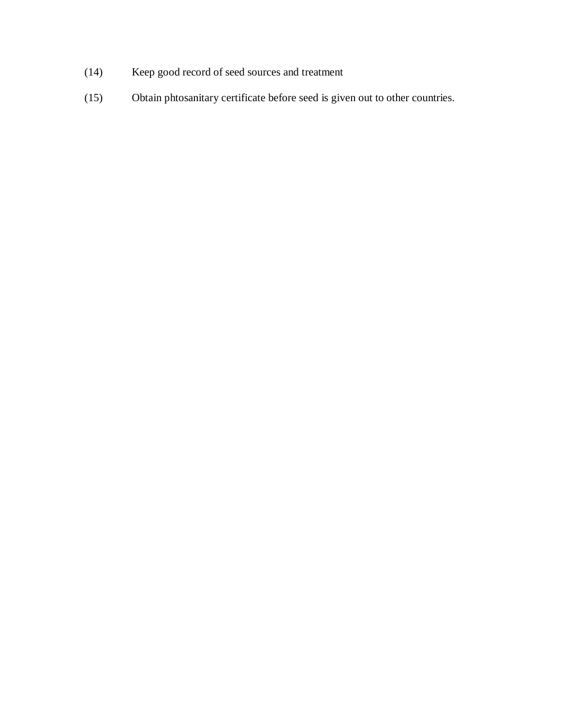- (14) Keep good record of seed sources and treatment
- (15) Obtain phtosanitary certificate before seed is given out to other countries.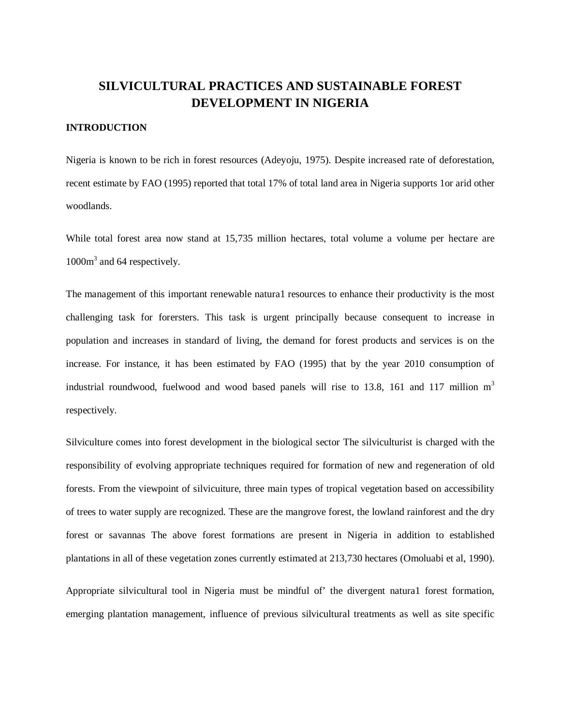# **SILVICULTURAL PRACTICES AND SUSTAINABLE FOREST DEVELOPMENT IN NIGERIA**

#### **INTRODUCTION**

Nigeria is known to be rich in forest resources (Adeyoju, 1975). Despite increased rate of deforestation, recent estimate by FAO (1995) reported that total 17% of total land area in Nigeria supports 1or arid other woodlands.

While total forest area now stand at 15,735 million hectares, total volume a volume per hectare are 1000m<sup>3</sup> and 64 respectively.

The management of this important renewable natura1 resources to enhance their productivity is the most challenging task for forersters. This task is urgent principally because consequent to increase in population and increases in standard of living, the demand for forest products and services is on the increase. For instance, it has been estimated by FAO (1995) that by the year 2010 consumption of industrial roundwood, fuelwood and wood based panels will rise to 13.8, 161 and 117 million  $m<sup>3</sup>$ respectively.

Silviculture comes into forest development in the biological sector The silviculturist is charged with the responsibility of evolving appropriate techniques required for formation of new and regeneration of old forests. From the viewpoint of silvicuiture, three main types of tropical vegetation based on accessibility of trees to water supply are recognized. These are the mangrove forest, the lowland rainforest and the dry forest or savannas The above forest formations are present in Nigeria in addition to established plantations in all of these vegetation zones currently estimated at 213,730 hectares (Omoluabi et al, 1990).

Appropriate silvicultural tool in Nigeria must be mindful of' the divergent natura1 forest formation, emerging plantation management, influence of previous silvicultural treatments as well as site specific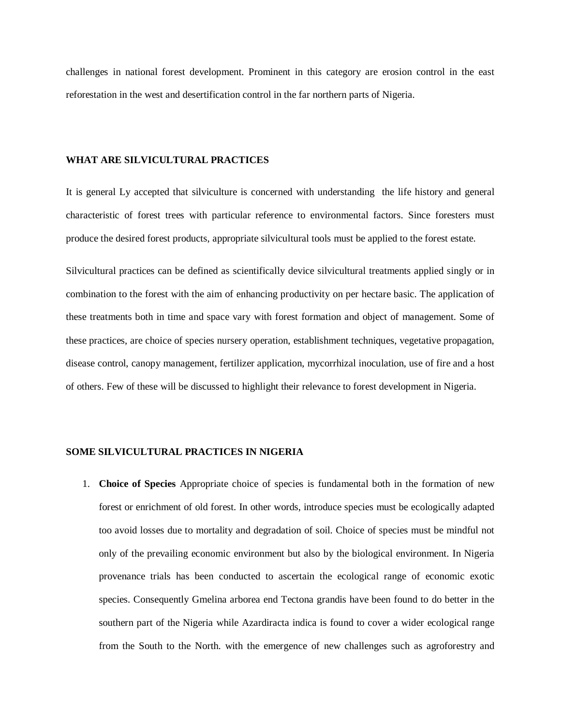challenges in national forest development. Prominent in this category are erosion control in the east reforestation in the west and desertification control in the far northern parts of Nigeria.

#### **WHAT ARE SILVICULTURAL PRACTICES**

It is general Ly accepted that silviculture is concerned with understanding the life history and general characteristic of forest trees with particular reference to environmental factors. Since foresters must produce the desired forest products, appropriate silvicultural tools must be applied to the forest estate.

Silvicultural practices can be defined as scientifically device silvicultural treatments applied singly or in combination to the forest with the aim of enhancing productivity on per hectare basic. The application of these treatments both in time and space vary with forest formation and object of management. Some of these practices, are choice of species nursery operation, establishment techniques, vegetative propagation, disease control, canopy management, fertilizer application, mycorrhizal inoculation, use of fire and a host of others. Few of these will be discussed to highlight their relevance to forest development in Nigeria.

#### **SOME SILVICULTURAL PRACTICES IN NIGERIA**

1. **Choice of Species** Appropriate choice of species is fundamental both in the formation of new forest or enrichment of old forest. In other words, introduce species must be ecologically adapted too avoid losses due to mortality and degradation of soil. Choice of species must be mindful not only of the prevailing economic environment but also by the biological environment. In Nigeria provenance trials has been conducted to ascertain the ecological range of economic exotic species. Consequently Gmelina arborea end Tectona grandis have been found to do better in the southern part of the Nigeria while Azardiracta indica is found to cover a wider ecological range from the South to the North. with the emergence of new challenges such as agroforestry and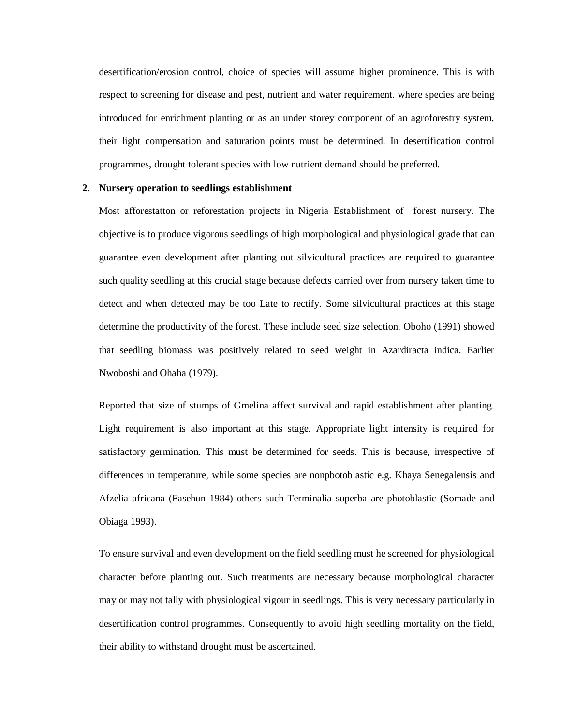desertification/erosion control, choice of species will assume higher prominence. This is with respect to screening for disease and pest, nutrient and water requirement. where species are being introduced for enrichment planting or as an under storey component of an agroforestry system, their light compensation and saturation points must be determined. In desertification control programmes, drought tolerant species with low nutrient demand should be preferred.

#### **2. Nursery operation to seedlings establishment**

Most afforestatton or reforestation projects in Nigeria Establishment of forest nursery. The objective is to produce vigorous seedlings of high morphological and physiological grade that can guarantee even development after planting out silvicultural practices are required to guarantee such quality seedling at this crucial stage because defects carried over from nursery taken time to detect and when detected may be too Late to rectify. Some silvicultural practices at this stage determine the productivity of the forest. These include seed size selection. Oboho (1991) showed that seedling biomass was positively related to seed weight in Azardiracta indica. Earlier Nwoboshi and Ohaha (1979).

Reported that size of stumps of Gmelina affect survival and rapid establishment after planting. Light requirement is also important at this stage. Appropriate light intensity is required for satisfactory germination. This must be determined for seeds. This is because, irrespective of differences in temperature, while some species are nonpbotoblastic e.g. Khaya Senegalensis and Afzelia africana (Fasehun 1984) others such Terminalia superba are photoblastic (Somade and Obiaga 1993).

To ensure survival and even development on the field seedling must he screened for physiological character before planting out. Such treatments are necessary because morphological character may or may not tally with physiological vigour in seedlings. This is very necessary particularly in desertification control programmes. Consequently to avoid high seedling mortality on the field, their ability to withstand drought must be ascertained.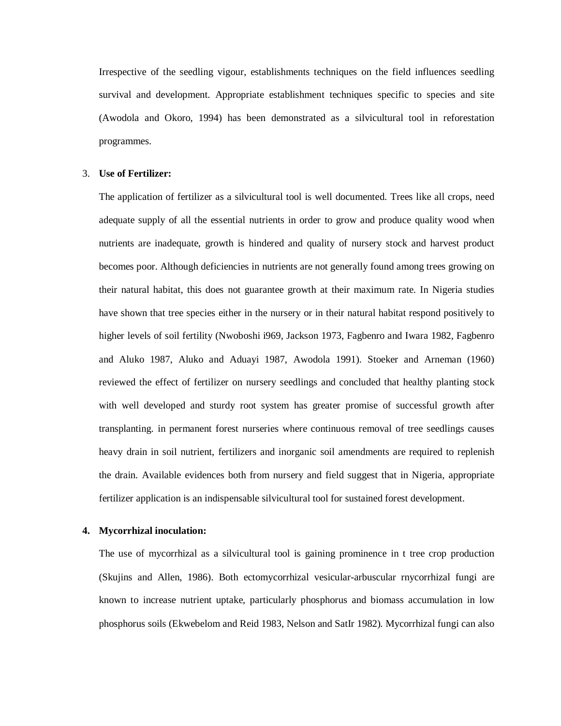Irrespective of the seedling vigour, establishments techniques on the field influences seedling survival and development. Appropriate establishment techniques specific to species and site (Awodola and Okoro, 1994) has been demonstrated as a silvicultural tool in reforestation programmes.

#### 3. **Use of Fertilizer:**

The application of fertilizer as a silvicultural tool is well documented. Trees like all crops, need adequate supply of all the essential nutrients in order to grow and produce quality wood when nutrients are inadequate, growth is hindered and quality of nursery stock and harvest product becomes poor. Although deficiencies in nutrients are not generally found among trees growing on their natural habitat, this does not guarantee growth at their maximum rate. In Nigeria studies have shown that tree species either in the nursery or in their natural habitat respond positively to higher levels of soil fertility (Nwoboshi i969, Jackson 1973, Fagbenro and Iwara 1982, Fagbenro and Aluko 1987, Aluko and Aduayi 1987, Awodola 1991). Stoeker and Arneman (1960) reviewed the effect of fertilizer on nursery seedlings and concluded that healthy planting stock with well developed and sturdy root system has greater promise of successful growth after transplanting. in permanent forest nurseries where continuous removal of tree seedlings causes heavy drain in soil nutrient, fertilizers and inorganic soil amendments are required to replenish the drain. Available evidences both from nursery and field suggest that in Nigeria, appropriate fertilizer application is an indispensable silvicultural tool for sustained forest development.

#### **4. Mycorrhizal inoculation:**

The use of mycorrhizal as a silvicultural tool is gaining prominence in t tree crop production (Skujins and Allen, 1986). Both ectomycorrhizal vesicular-arbuscular rnycorrhizal fungi are known to increase nutrient uptake, particularly phosphorus and biomass accumulation in low phosphorus soils (Ekwebelom and Reid 1983, Nelson and SatIr 1982). Mycorrhizal fungi can also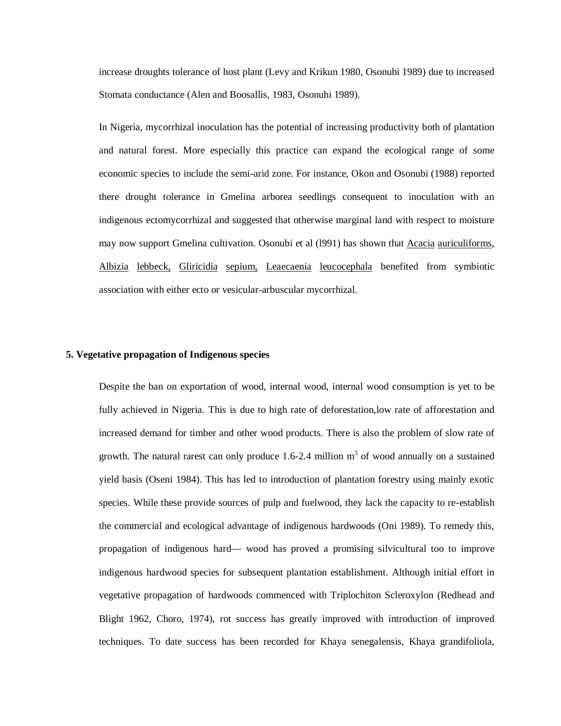increase droughts tolerance of host plant (Levy and Krikun 1980, Osonubi 1989) due to increased Stomata conductance (Alen and Boosallis, 1983, Osonuhi 1989).

In Nigeria, mycorrhizal inoculation has the potential of increasing productivity both of plantation and natural forest. More especially this practice can expand the ecological range of some economic species to include the semi-arid zone. For instance, Okon and Osonubi (1988) reported there drought tolerance in Gmelina arborea seedlings consequent to inoculation with an indigenous ectomycorrhizal and suggested that otherwise marginal land with respect to moisture may now support Gmelina cultivation. Osonubi et al (l991) has shown that Acacia auriculiforms, Albizia lebbeck, Gliricidia sepium, Leaecaenia leucocephala benefited from symbiotic association with either ecto or vesicular-arbuscular mycorrhizal.

#### **5. Vegetative propagation of Indigenous species**

Despite the ban on exportation of wood, internal wood, internal wood consumption is yet to be fully achieved in Nigeria. This is due to high rate of deforestation,low rate of afforestation and increased demand for timber and other wood products. There is also the problem of slow rate of growth. The natural rarest can only produce 1.6-2.4 million  $m<sup>3</sup>$  of wood annually on a sustained yield basis (Oseni 1984). This has led to introduction of plantation forestry using mainly exotic species. While these provide sources of pulp and fuelwood, they lack the capacity to re-establish the commercial and ecological advantage of indigenous hardwoods (Oni 1989). To remedy this, propagation of indigenous hard— wood has proved a promising silvicultural too to improve indigenous hardwood species for subsequent plantation establishment. Although initial effort in vegetative propagation of hardwoods commenced with Triplochiton Scleroxylon (Redhead and Blight 1962, Choro, 1974), rot success has greatly improved with introduction of improved techniques. To date success has been recorded for Khaya senegalensis, Khaya grandifoliola,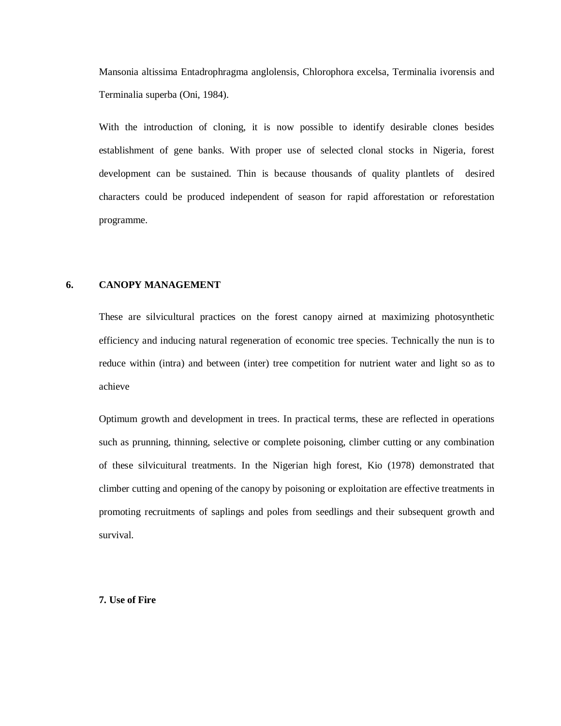Mansonia altissima Entadrophragma anglolensis, Chlorophora excelsa, Terminalia ivorensis and Terminalia superba (Oni, 1984).

With the introduction of cloning, it is now possible to identify desirable clones besides establishment of gene banks. With proper use of selected clonal stocks in Nigeria, forest development can be sustained. Thin is because thousands of quality plantlets of desired characters could be produced independent of season for rapid afforestation or reforestation programme.

### **6. CANOPY MANAGEMENT**

These are silvicultural practices on the forest canopy airned at maximizing photosynthetic efficiency and inducing natural regeneration of economic tree species. Technically the nun is to reduce within (intra) and between (inter) tree competition for nutrient water and light so as to achieve

Optimum growth and development in trees. In practical terms, these are reflected in operations such as prunning, thinning, selective or complete poisoning, climber cutting or any combination of these silvicuitural treatments. In the Nigerian high forest, Kio (1978) demonstrated that climber cutting and opening of the canopy by poisoning or exploitation are effective treatments in promoting recruitments of saplings and poles from seedlings and their subsequent growth and survival.

**7. Use of Fire**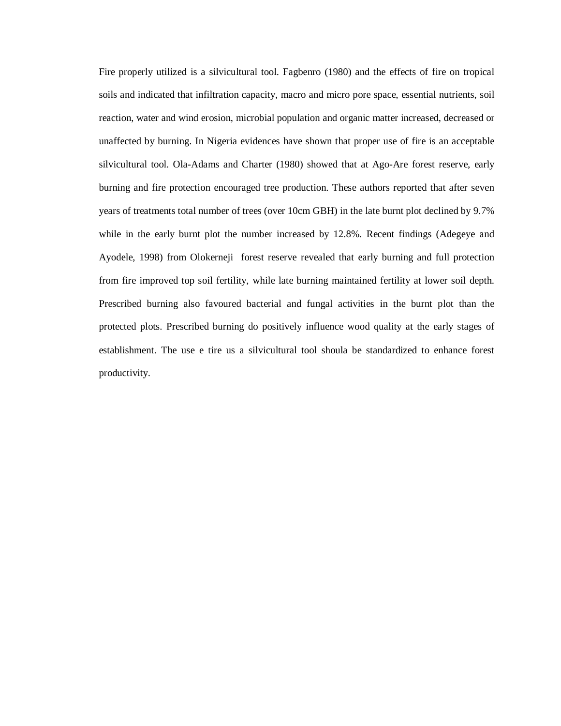Fire properly utilized is a silvicultural tool. Fagbenro (1980) and the effects of fire on tropical soils and indicated that infiltration capacity, macro and micro pore space, essential nutrients, soil reaction, water and wind erosion, microbial population and organic matter increased, decreased or unaffected by burning. In Nigeria evidences have shown that proper use of fire is an acceptable silvicultural tool. Ola-Adams and Charter (1980) showed that at Ago-Are forest reserve, early burning and fire protection encouraged tree production. These authors reported that after seven years of treatments total number of trees (over 10cm GBH) in the late burnt plot declined by 9.7% while in the early burnt plot the number increased by 12.8%. Recent findings (Adegeye and Ayodele, 1998) from Olokerneji forest reserve revealed that early burning and full protection from fire improved top soil fertility, while late burning maintained fertility at lower soil depth. Prescribed burning also favoured bacterial and fungal activities in the burnt plot than the protected plots. Prescribed burning do positively influence wood quality at the early stages of establishment. The use e tire us a silvicultural tool shoula be standardized to enhance forest productivity.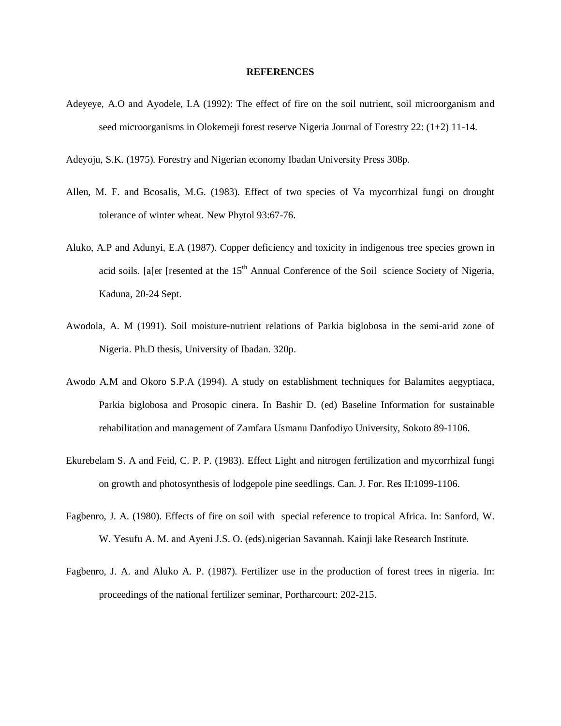#### **REFERENCES**

- Adeyeye, A.O and Ayodele, I.A (1992): The effect of fire on the soil nutrient, soil microorganism and seed microorganisms in Olokemeji forest reserve Nigeria Journal of Forestry 22: (1+2) 11-14.
- Adeyoju, S.K. (1975). Forestry and Nigerian economy Ibadan University Press 308p.
- Allen, M. F. and Bcosalis, M.G. (1983). Effect of two species of Va mycorrhizal fungi on drought tolerance of winter wheat. New Phytol 93:67-76.
- Aluko, A.P and Adunyi, E.A (1987). Copper deficiency and toxicity in indigenous tree species grown in acid soils. [a[er [resented at the 15<sup>th</sup> Annual Conference of the Soil science Society of Nigeria, Kaduna, 20-24 Sept.
- Awodola, A. M (1991). Soil moisture-nutrient relations of Parkia biglobosa in the semi-arid zone of Nigeria. Ph.D thesis, University of Ibadan. 320p.
- Awodo A.M and Okoro S.P.A (1994). A study on establishment techniques for Balamites aegyptiaca, Parkia biglobosa and Prosopic cinera. In Bashir D. (ed) Baseline Information for sustainable rehabilitation and management of Zamfara Usmanu Danfodiyo University, Sokoto 89-1106.
- Ekurebelam S. A and Feid, C. P. P. (1983). Effect Light and nitrogen fertilization and mycorrhizal fungi on growth and photosynthesis of lodgepole pine seedlings. Can. J. For. Res II:1099-1106.
- Fagbenro, J. A. (1980). Effects of fire on soil with special reference to tropical Africa. In: Sanford, W. W. Yesufu A. M. and Ayeni J.S. O. (eds).nigerian Savannah. Kainji lake Research Institute.
- Fagbenro, J. A. and Aluko A. P. (1987). Fertilizer use in the production of forest trees in nigeria. In: proceedings of the national fertilizer seminar, Portharcourt: 202-215.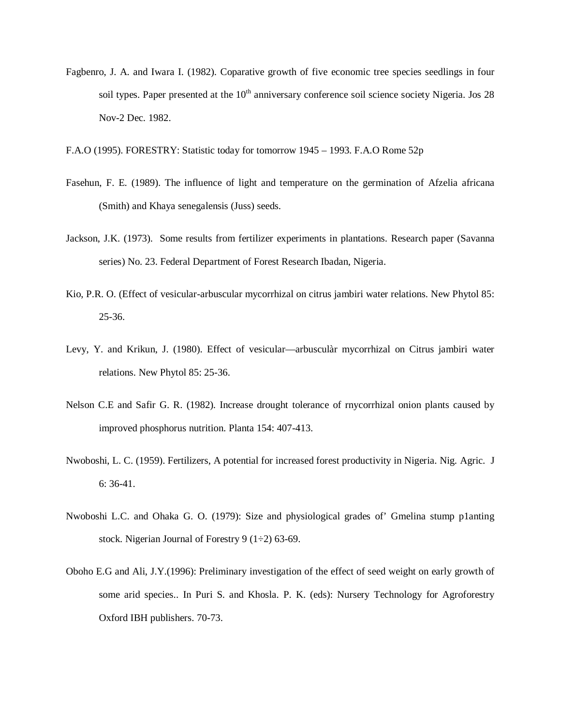- Fagbenro, J. A. and Iwara I. (1982). Coparative growth of five economic tree species seedlings in four soil types. Paper presented at the  $10<sup>th</sup>$  anniversary conference soil science society Nigeria. Jos 28 Nov-2 Dec. 1982.
- F.A.O (1995). FORESTRY: Statistic today for tomorrow 1945 1993. F.A.O Rome 52p
- Fasehun, F. E. (1989). The influence of light and temperature on the germination of Afzelia africana (Smith) and Khaya senegalensis (Juss) seeds.
- Jackson, J.K. (1973). Some results from fertilizer experiments in plantations. Research paper (Savanna series) No. 23. Federal Department of Forest Research Ibadan, Nigeria.
- Kio, P.R. O. (Effect of vesicular-arbuscular mycorrhizal on citrus jambiri water relations. New Phytol 85: 25-36.
- Levy, Y. and Krikun, J. (1980). Effect of vesicular—arbusculàr mycorrhizal on Citrus jambiri water relations. New Phytol 85: 25-36.
- Nelson C.E and Safir G. R. (1982). Increase drought tolerance of rnycorrhizal onion plants caused by improved phosphorus nutrition. Planta 154: 407-413.
- Nwoboshi, L. C. (1959). Fertilizers, A potential for increased forest productivity in Nigeria. Nig. Agric. J 6: 36-41.
- Nwoboshi L.C. and Ohaka G. O. (1979): Size and physiological grades of' Gmelina stump p1anting stock. Nigerian Journal of Forestry 9  $(1\div 2)$  63-69.
- Oboho E.G and Ali, J.Y.(1996): Preliminary investigation of the effect of seed weight on early growth of some arid species.. In Puri S. and Khosla. P. K. (eds): Nursery Technology for Agroforestry Oxford IBH publishers. 70-73.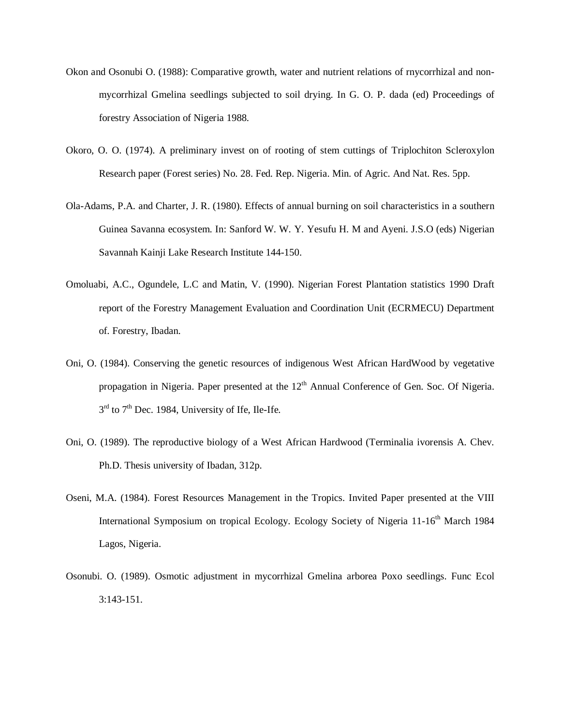- Okon and Osonubi O. (1988): Comparative growth, water and nutrient relations of rnycorrhizal and nonmycorrhizal Gmelina seedlings subjected to soil drying. In G. O. P. dada (ed) Proceedings of forestry Association of Nigeria 1988.
- Okoro, O. O. (1974). A preliminary invest on of rooting of stem cuttings of Triplochiton Scleroxylon Research paper (Forest series) No. 28. Fed. Rep. Nigeria. Min. of Agric. And Nat. Res. 5pp.
- Ola-Adams, P.A. and Charter, J. R. (1980). Effects of annual burning on soil characteristics in a southern Guinea Savanna ecosystem. In: Sanford W. W. Y. Yesufu H. M and Ayeni. J.S.O (eds) Nigerian Savannah Kainji Lake Research Institute 144-150.
- Omoluabi, A.C., Ogundele, L.C and Matin, V. (1990). Nigerian Forest Plantation statistics 1990 Draft report of the Forestry Management Evaluation and Coordination Unit (ECRMECU) Department of. Forestry, Ibadan.
- Oni, O. (1984). Conserving the genetic resources of indigenous West African HardWood by vegetative propagation in Nigeria. Paper presented at the  $12<sup>th</sup>$  Annual Conference of Gen. Soc. Of Nigeria.  $3<sup>rd</sup>$  to  $7<sup>th</sup>$  Dec. 1984, University of Ife, Ile-Ife.
- Oni, O. (1989). The reproductive biology of a West African Hardwood (Terminalia ivorensis A. Chev. Ph.D. Thesis university of Ibadan, 312p.
- Oseni, M.A. (1984). Forest Resources Management in the Tropics. Invited Paper presented at the VIII International Symposium on tropical Ecology. Ecology Society of Nigeria 11-16<sup>th</sup> March 1984 Lagos, Nigeria.
- Osonubi. O. (1989). Osmotic adjustment in mycorrhizal Gmelina arborea Poxo seedlings. Func Ecol 3:143-151.